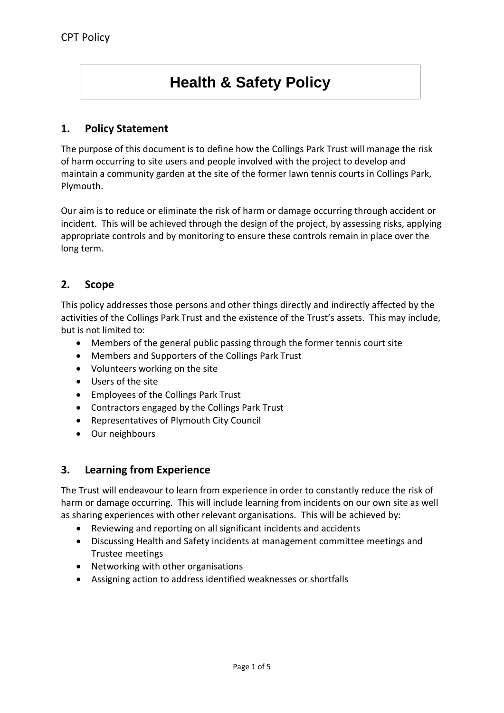# **Health & Safety Policy**

# **1. Policy Statement**

The purpose of this document is to define how the Collings Park Trust will manage the risk of harm occurring to site users and people involved with the project to develop and maintain a community garden at the site of the former lawn tennis courts in Collings Park, Plymouth.

Our aim is to reduce or eliminate the risk of harm or damage occurring through accident or incident. This will be achieved through the design of the project, by assessing risks, applying appropriate controls and by monitoring to ensure these controls remain in place over the long term.

# **2. Scope**

This policy addresses those persons and other things directly and indirectly affected by the activities of the Collings Park Trust and the existence of the Trust's assets. This may include, but is not limited to:

- Members of the general public passing through the former tennis court site
- Members and Supporters of the Collings Park Trust
- Volunteers working on the site
- Users of the site
- Employees of the Collings Park Trust
- Contractors engaged by the Collings Park Trust
- Representatives of Plymouth City Council
- Our neighbours

## **3. Learning from Experience**

The Trust will endeavour to learn from experience in order to constantly reduce the risk of harm or damage occurring. This will include learning from incidents on our own site as well as sharing experiences with other relevant organisations. This will be achieved by:

- Reviewing and reporting on all significant incidents and accidents
- Discussing Health and Safety incidents at management committee meetings and Trustee meetings
- Networking with other organisations
- Assigning action to address identified weaknesses or shortfalls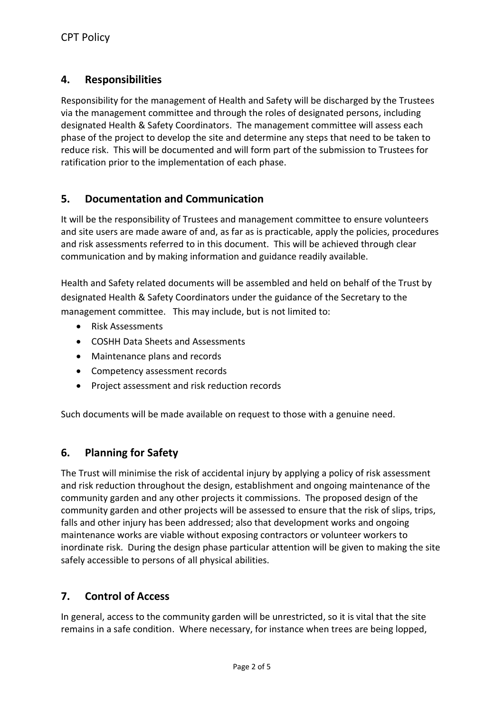# **4. Responsibilities**

Responsibility for the management of Health and Safety will be discharged by the Trustees via the management committee and through the roles of designated persons, including designated Health & Safety Coordinators. The management committee will assess each phase of the project to develop the site and determine any steps that need to be taken to reduce risk. This will be documented and will form part of the submission to Trustees for ratification prior to the implementation of each phase.

# **5. Documentation and Communication**

It will be the responsibility of Trustees and management committee to ensure volunteers and site users are made aware of and, as far as is practicable, apply the policies, procedures and risk assessments referred to in this document. This will be achieved through clear communication and by making information and guidance readily available.

Health and Safety related documents will be assembled and held on behalf of the Trust by designated Health & Safety Coordinators under the guidance of the Secretary to the management committee. This may include, but is not limited to:

- Risk Assessments
- COSHH Data Sheets and Assessments
- Maintenance plans and records
- Competency assessment records
- Project assessment and risk reduction records

Such documents will be made available on request to those with a genuine need.

## **6. Planning for Safety**

The Trust will minimise the risk of accidental injury by applying a policy of risk assessment and risk reduction throughout the design, establishment and ongoing maintenance of the community garden and any other projects it commissions. The proposed design of the community garden and other projects will be assessed to ensure that the risk of slips, trips, falls and other injury has been addressed; also that development works and ongoing maintenance works are viable without exposing contractors or volunteer workers to inordinate risk. During the design phase particular attention will be given to making the site safely accessible to persons of all physical abilities.

## **7. Control of Access**

In general, access to the community garden will be unrestricted, so it is vital that the site remains in a safe condition. Where necessary, for instance when trees are being lopped,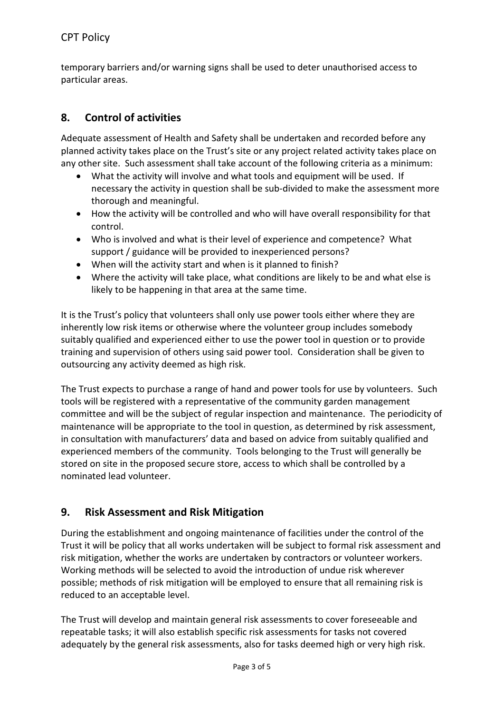temporary barriers and/or warning signs shall be used to deter unauthorised access to particular areas.

# **8. Control of activities**

Adequate assessment of Health and Safety shall be undertaken and recorded before any planned activity takes place on the Trust's site or any project related activity takes place on any other site. Such assessment shall take account of the following criteria as a minimum:

- What the activity will involve and what tools and equipment will be used. If necessary the activity in question shall be sub-divided to make the assessment more thorough and meaningful.
- How the activity will be controlled and who will have overall responsibility for that control.
- Who is involved and what is their level of experience and competence? What support / guidance will be provided to inexperienced persons?
- When will the activity start and when is it planned to finish?
- Where the activity will take place, what conditions are likely to be and what else is likely to be happening in that area at the same time.

It is the Trust's policy that volunteers shall only use power tools either where they are inherently low risk items or otherwise where the volunteer group includes somebody suitably qualified and experienced either to use the power tool in question or to provide training and supervision of others using said power tool. Consideration shall be given to outsourcing any activity deemed as high risk.

The Trust expects to purchase a range of hand and power tools for use by volunteers. Such tools will be registered with a representative of the community garden management committee and will be the subject of regular inspection and maintenance. The periodicity of maintenance will be appropriate to the tool in question, as determined by risk assessment, in consultation with manufacturers' data and based on advice from suitably qualified and experienced members of the community. Tools belonging to the Trust will generally be stored on site in the proposed secure store, access to which shall be controlled by a nominated lead volunteer.

# **9. Risk Assessment and Risk Mitigation**

During the establishment and ongoing maintenance of facilities under the control of the Trust it will be policy that all works undertaken will be subject to formal risk assessment and risk mitigation, whether the works are undertaken by contractors or volunteer workers. Working methods will be selected to avoid the introduction of undue risk wherever possible; methods of risk mitigation will be employed to ensure that all remaining risk is reduced to an acceptable level.

The Trust will develop and maintain general risk assessments to cover foreseeable and repeatable tasks; it will also establish specific risk assessments for tasks not covered adequately by the general risk assessments, also for tasks deemed high or very high risk.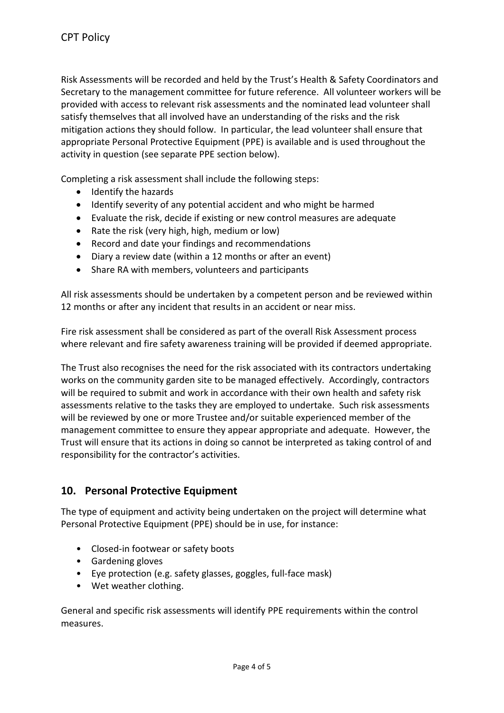Risk Assessments will be recorded and held by the Trust's Health & Safety Coordinators and Secretary to the management committee for future reference. All volunteer workers will be provided with access to relevant risk assessments and the nominated lead volunteer shall satisfy themselves that all involved have an understanding of the risks and the risk mitigation actions they should follow. In particular, the lead volunteer shall ensure that appropriate Personal Protective Equipment (PPE) is available and is used throughout the activity in question (see separate PPE section below).

Completing a risk assessment shall include the following steps:

- Identify the hazards
- Identify severity of any potential accident and who might be harmed
- Evaluate the risk, decide if existing or new control measures are adequate
- Rate the risk (very high, high, medium or low)
- Record and date your findings and recommendations
- Diary a review date (within a 12 months or after an event)
- Share RA with members, volunteers and participants

All risk assessments should be undertaken by a competent person and be reviewed within 12 months or after any incident that results in an accident or near miss.

Fire risk assessment shall be considered as part of the overall Risk Assessment process where relevant and fire safety awareness training will be provided if deemed appropriate.

The Trust also recognises the need for the risk associated with its contractors undertaking works on the community garden site to be managed effectively. Accordingly, contractors will be required to submit and work in accordance with their own health and safety risk assessments relative to the tasks they are employed to undertake. Such risk assessments will be reviewed by one or more Trustee and/or suitable experienced member of the management committee to ensure they appear appropriate and adequate. However, the Trust will ensure that its actions in doing so cannot be interpreted as taking control of and responsibility for the contractor's activities.

## **10. Personal Protective Equipment**

The type of equipment and activity being undertaken on the project will determine what Personal Protective Equipment (PPE) should be in use, for instance:

- Closed-in footwear or safety boots
- Gardening gloves
- Eye protection (e.g. safety glasses, goggles, full-face mask)
- Wet weather clothing.

General and specific risk assessments will identify PPE requirements within the control measures.